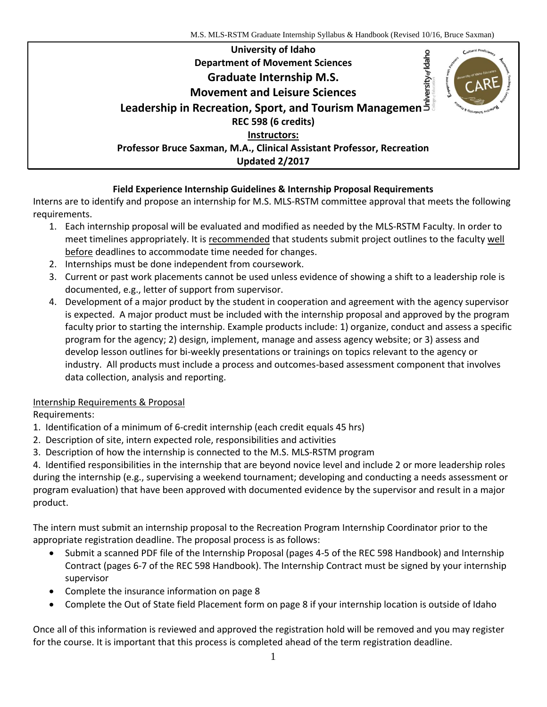

## **Field Experience Internship Guidelines & Internship Proposal Requirements**

Interns are to identify and propose an internship for M.S. MLS-RSTM committee approval that meets the following requirements.

- 1. Each internship proposal will be evaluated and modified as needed by the MLS-RSTM Faculty. In order to meet timelines appropriately. It is recommended that students submit project outlines to the faculty well before deadlines to accommodate time needed for changes.
- 2. Internships must be done independent from coursework.
- 3. Current or past work placements cannot be used unless evidence of showing a shift to a leadership role is documented, e.g., letter of support from supervisor.
- 4. Development of a major product by the student in cooperation and agreement with the agency supervisor is expected. A major product must be included with the internship proposal and approved by the program faculty prior to starting the internship. Example products include: 1) organize, conduct and assess a specific program for the agency; 2) design, implement, manage and assess agency website; or 3) assess and develop lesson outlines for bi-weekly presentations or trainings on topics relevant to the agency or industry. All products must include a process and outcomes-based assessment component that involves data collection, analysis and reporting.

#### Internship Requirements & Proposal

Requirements:

- 1. Identification of a minimum of 6-credit internship (each credit equals 45 hrs)
- 2. Description of site, intern expected role, responsibilities and activities
- 3. Description of how the internship is connected to the M.S. MLS-RSTM program

4. Identified responsibilities in the internship that are beyond novice level and include 2 or more leadership roles during the internship (e.g., supervising a weekend tournament; developing and conducting a needs assessment or program evaluation) that have been approved with documented evidence by the supervisor and result in a major product.

The intern must submit an internship proposal to the Recreation Program Internship Coordinator prior to the appropriate registration deadline. The proposal process is as follows:

- Submit a scanned PDF file of the Internship Proposal (pages 4-5 of the REC 598 Handbook) and Internship Contract (pages 6-7 of the REC 598 Handbook). The Internship Contract must be signed by your internship supervisor
- Complete the insurance information on page 8
- Complete the Out of State field Placement form on page 8 if your internship location is outside of Idaho

Once all of this information is reviewed and approved the registration hold will be removed and you may register for the course. It is important that this process is completed ahead of the term registration deadline.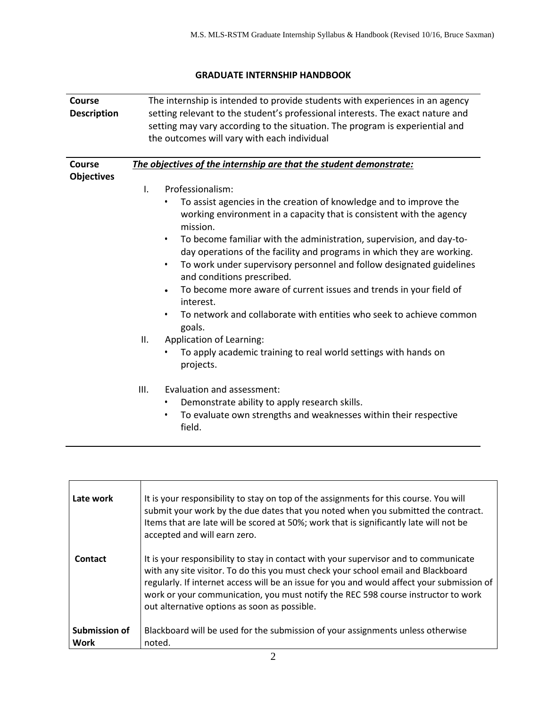# **GRADUATE INTERNSHIP HANDBOOK**

| <b>Course</b><br><b>Description</b> | The internship is intended to provide students with experiences in an agency<br>setting relevant to the student's professional interests. The exact nature and<br>setting may vary according to the situation. The program is experiential and<br>the outcomes will vary with each individual |  |  |  |  |
|-------------------------------------|-----------------------------------------------------------------------------------------------------------------------------------------------------------------------------------------------------------------------------------------------------------------------------------------------|--|--|--|--|
| Course                              | The objectives of the internship are that the student demonstrate:                                                                                                                                                                                                                            |  |  |  |  |
| <b>Objectives</b>                   |                                                                                                                                                                                                                                                                                               |  |  |  |  |
|                                     | Professionalism:<br>I.                                                                                                                                                                                                                                                                        |  |  |  |  |
|                                     | To assist agencies in the creation of knowledge and to improve the<br>$\bullet$<br>working environment in a capacity that is consistent with the agency<br>mission.                                                                                                                           |  |  |  |  |
|                                     | To become familiar with the administration, supervision, and day-to-<br>$\bullet$<br>day operations of the facility and programs in which they are working.<br>To work under supervisory personnel and follow designated guidelines<br>$\bullet$<br>and conditions prescribed.                |  |  |  |  |
|                                     | To become more aware of current issues and trends in your field of<br>interest.                                                                                                                                                                                                               |  |  |  |  |
|                                     | To network and collaborate with entities who seek to achieve common<br>٠<br>goals.                                                                                                                                                                                                            |  |  |  |  |
|                                     | Application of Learning:<br>ΙΙ.                                                                                                                                                                                                                                                               |  |  |  |  |
|                                     | To apply academic training to real world settings with hands on<br>projects.                                                                                                                                                                                                                  |  |  |  |  |
|                                     | Ш.<br>Evaluation and assessment:<br>Demonstrate ability to apply research skills.<br>To evaluate own strengths and weaknesses within their respective<br>٠<br>field.                                                                                                                          |  |  |  |  |

| Late work                    | It is your responsibility to stay on top of the assignments for this course. You will<br>submit your work by the due dates that you noted when you submitted the contract.<br>Items that are late will be scored at 50%; work that is significantly late will not be<br>accepted and will earn zero.                                                                                                         |
|------------------------------|--------------------------------------------------------------------------------------------------------------------------------------------------------------------------------------------------------------------------------------------------------------------------------------------------------------------------------------------------------------------------------------------------------------|
| Contact                      | It is your responsibility to stay in contact with your supervisor and to communicate<br>with any site visitor. To do this you must check your school email and Blackboard<br>regularly. If internet access will be an issue for you and would affect your submission of<br>work or your communication, you must notify the REC 598 course instructor to work<br>out alternative options as soon as possible. |
| Submission of<br><b>Work</b> | Blackboard will be used for the submission of your assignments unless otherwise<br>noted.                                                                                                                                                                                                                                                                                                                    |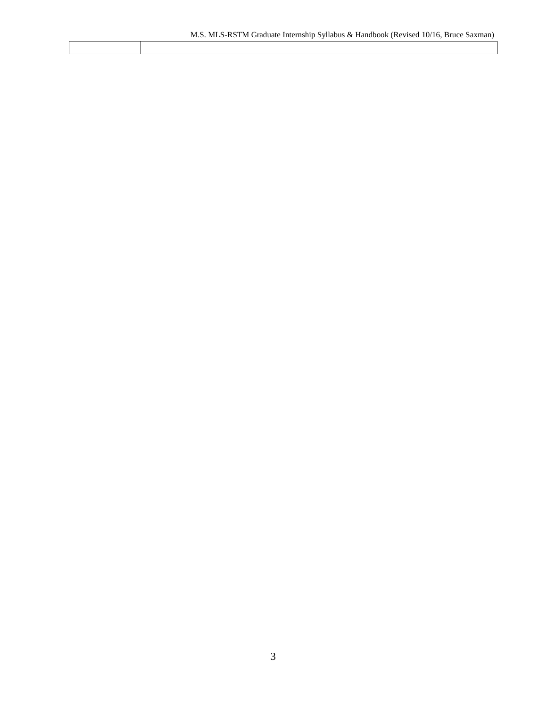| I | . .<br>I |    |    |   |
|---|----------|----|----|---|
|   |          |    |    |   |
|   |          |    |    |   |
|   |          |    | ۰. | I |
| × |          | ۰. | ۰, |   |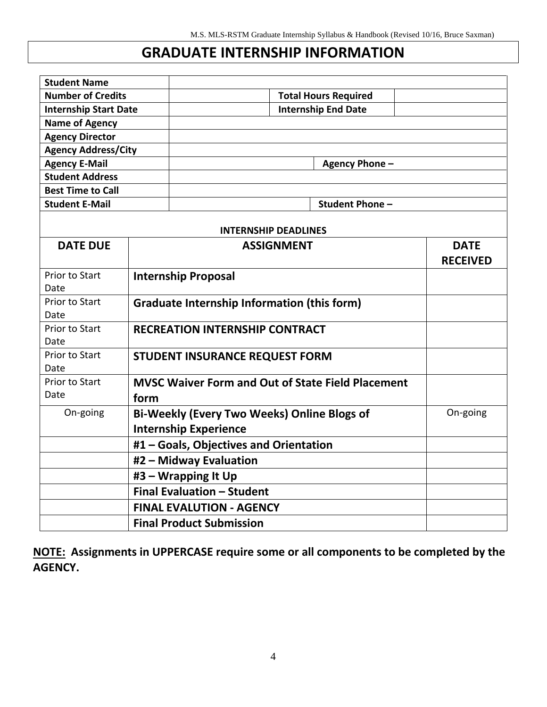# **GRADUATE INTERNSHIP INFORMATION**

| <b>Student Name</b>          |                                                          |                                             |                 |
|------------------------------|----------------------------------------------------------|---------------------------------------------|-----------------|
| <b>Number of Credits</b>     |                                                          | <b>Total Hours Required</b>                 |                 |
| <b>Internship Start Date</b> |                                                          | <b>Internship End Date</b>                  |                 |
| <b>Name of Agency</b>        |                                                          |                                             |                 |
| <b>Agency Director</b>       |                                                          |                                             |                 |
| <b>Agency Address/City</b>   |                                                          |                                             |                 |
| <b>Agency E-Mail</b>         |                                                          | Agency Phone -                              |                 |
| <b>Student Address</b>       |                                                          |                                             |                 |
| <b>Best Time to Call</b>     |                                                          |                                             |                 |
| <b>Student E-Mail</b>        |                                                          | <b>Student Phone -</b>                      |                 |
|                              |                                                          | <b>INTERNSHIP DEADLINES</b>                 |                 |
| <b>DATE DUE</b>              |                                                          | <b>ASSIGNMENT</b>                           | <b>DATE</b>     |
|                              |                                                          |                                             | <b>RECEIVED</b> |
| <b>Prior to Start</b>        |                                                          | <b>Internship Proposal</b>                  |                 |
| Date                         |                                                          |                                             |                 |
| <b>Prior to Start</b>        | <b>Graduate Internship Information (this form)</b>       |                                             |                 |
| Date                         |                                                          |                                             |                 |
| <b>Prior to Start</b>        | <b>RECREATION INTERNSHIP CONTRACT</b>                    |                                             |                 |
| Date                         |                                                          |                                             |                 |
| <b>Prior to Start</b>        | <b>STUDENT INSURANCE REQUEST FORM</b>                    |                                             |                 |
| Date                         |                                                          |                                             |                 |
| Prior to Start               | <b>MVSC Waiver Form and Out of State Field Placement</b> |                                             |                 |
| Date                         | form                                                     |                                             |                 |
| On-going                     |                                                          | Bi-Weekly (Every Two Weeks) Online Blogs of | On-going        |
|                              |                                                          | <b>Internship Experience</b>                |                 |
|                              |                                                          | #1 - Goals, Objectives and Orientation      |                 |
|                              |                                                          | #2 - Midway Evaluation                      |                 |
|                              |                                                          | #3 - Wrapping It Up                         |                 |
|                              |                                                          | <b>Final Evaluation - Student</b>           |                 |
|                              |                                                          | <b>FINAL EVALUTION - AGENCY</b>             |                 |
|                              |                                                          | <b>Final Product Submission</b>             |                 |
|                              |                                                          |                                             |                 |

**NOTE: Assignments in UPPERCASE require some or all components to be completed by the AGENCY.**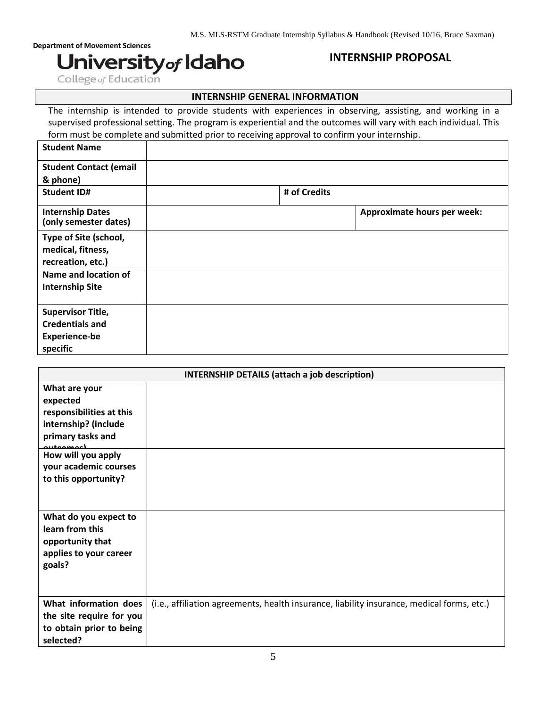#### **Department of Movement Sciences**

# University of Idaho

# **INTERNSHIP PROPOSAL**

#### **INTERNSHIP GENERAL INFORMATION**

The internship is intended to provide students with experiences in observing, assisting, and working in a supervised professional setting. The program is experiential and the outcomes will vary with each individual. This form must be complete and submitted prior to receiving approval to confirm your internship.

| <b>Student Name</b>                                                                    |                             |
|----------------------------------------------------------------------------------------|-----------------------------|
| <b>Student Contact (email</b>                                                          |                             |
| & phone)                                                                               |                             |
| Student ID#                                                                            | # of Credits                |
| <b>Internship Dates</b><br>(only semester dates)                                       | Approximate hours per week: |
| Type of Site (school,<br>medical, fitness,<br>recreation, etc.)                        |                             |
| Name and location of<br><b>Internship Site</b>                                         |                             |
| <b>Supervisor Title,</b><br><b>Credentials and</b><br><b>Experience-be</b><br>specific |                             |

|                                                                                                    | <b>INTERNSHIP DETAILS (attach a job description)</b>                                       |  |  |  |
|----------------------------------------------------------------------------------------------------|--------------------------------------------------------------------------------------------|--|--|--|
| What are your<br>expected<br>responsibilities at this<br>internship? (include<br>primary tasks and |                                                                                            |  |  |  |
| How will you apply<br>your academic courses<br>to this opportunity?                                |                                                                                            |  |  |  |
| What do you expect to<br>learn from this<br>opportunity that<br>applies to your career<br>goals?   |                                                                                            |  |  |  |
| What information does<br>the site require for you<br>to obtain prior to being<br>selected?         | (i.e., affiliation agreements, health insurance, liability insurance, medical forms, etc.) |  |  |  |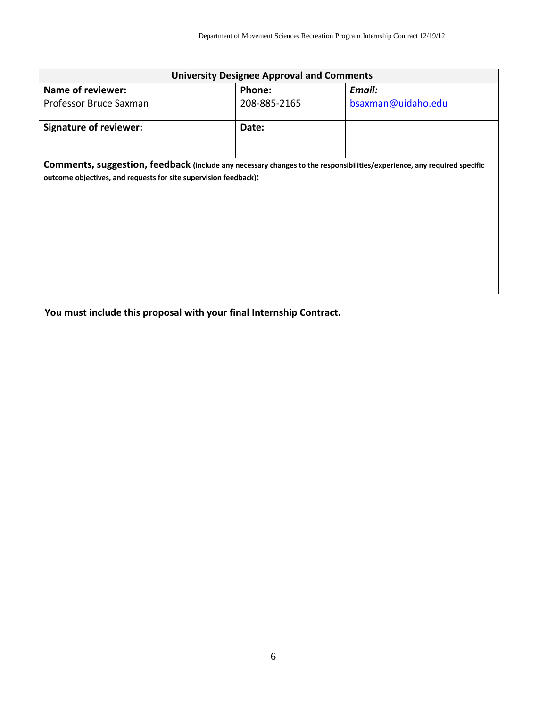| <b>University Designee Approval and Comments</b>                                                                                                                                            |              |                    |  |
|---------------------------------------------------------------------------------------------------------------------------------------------------------------------------------------------|--------------|--------------------|--|
| <b>Name of reviewer:</b>                                                                                                                                                                    | Phone:       | Email:             |  |
| Professor Bruce Saxman                                                                                                                                                                      | 208-885-2165 | bsaxman@uidaho.edu |  |
| <b>Signature of reviewer:</b>                                                                                                                                                               | Date:        |                    |  |
| Comments, suggestion, feedback (include any necessary changes to the responsibilities/experience, any required specific<br>outcome objectives, and requests for site supervision feedback): |              |                    |  |

**You must include this proposal with your final Internship Contract.**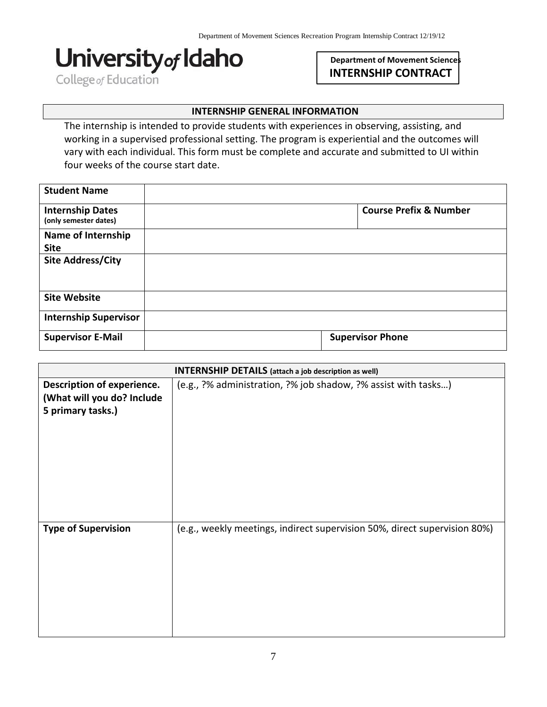

# **Department of Movement Sciences INTERNSHIP CONTRACT**

#### **INTERNSHIP GENERAL INFORMATION**

The internship is intended to provide students with experiences in observing, assisting, and working in a supervised professional setting. The program is experiential and the outcomes will vary with each individual. This form must be complete and accurate and submitted to UI within four weeks of the course start date.

| <b>Student Name</b>                              |                                   |
|--------------------------------------------------|-----------------------------------|
| <b>Internship Dates</b><br>(only semester dates) | <b>Course Prefix &amp; Number</b> |
| Name of Internship<br><b>Site</b>                |                                   |
| <b>Site Address/City</b>                         |                                   |
| <b>Site Website</b>                              |                                   |
| <b>Internship Supervisor</b>                     |                                   |
| <b>Supervisor E-Mail</b>                         | <b>Supervisor Phone</b>           |

| <b>INTERNSHIP DETAILS</b> (attach a job description as well) |                                                                           |  |  |  |
|--------------------------------------------------------------|---------------------------------------------------------------------------|--|--|--|
| Description of experience.                                   | (e.g., ?% administration, ?% job shadow, ?% assist with tasks)            |  |  |  |
| (What will you do? Include                                   |                                                                           |  |  |  |
| 5 primary tasks.)                                            |                                                                           |  |  |  |
|                                                              |                                                                           |  |  |  |
|                                                              |                                                                           |  |  |  |
|                                                              |                                                                           |  |  |  |
|                                                              |                                                                           |  |  |  |
|                                                              |                                                                           |  |  |  |
|                                                              |                                                                           |  |  |  |
|                                                              |                                                                           |  |  |  |
|                                                              |                                                                           |  |  |  |
| <b>Type of Supervision</b>                                   | (e.g., weekly meetings, indirect supervision 50%, direct supervision 80%) |  |  |  |
|                                                              |                                                                           |  |  |  |
|                                                              |                                                                           |  |  |  |
|                                                              |                                                                           |  |  |  |
|                                                              |                                                                           |  |  |  |
|                                                              |                                                                           |  |  |  |
|                                                              |                                                                           |  |  |  |
|                                                              |                                                                           |  |  |  |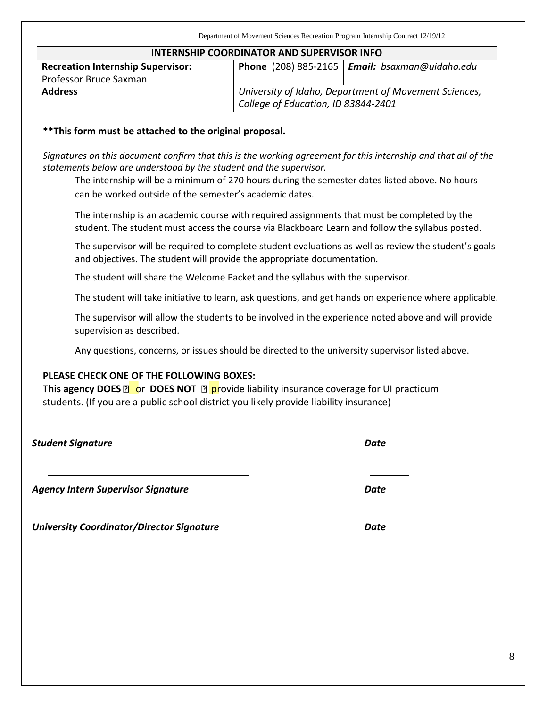| Department of Movement Sciences Recreation Program Internship Contract 12/19/12 |                                                                                              |                                                                |  |
|---------------------------------------------------------------------------------|----------------------------------------------------------------------------------------------|----------------------------------------------------------------|--|
| <b>INTERNSHIP COORDINATOR AND SUPERVISOR INFO</b>                               |                                                                                              |                                                                |  |
| <b>Recreation Internship Supervisor:</b>                                        |                                                                                              | <b>Phone</b> (208) 885-2165   <b>Email:</b> bsaxman@uidaho.edu |  |
| Professor Bruce Saxman                                                          |                                                                                              |                                                                |  |
| <b>Address</b>                                                                  | University of Idaho, Department of Movement Sciences,<br>College of Education, ID 83844-2401 |                                                                |  |

#### **\*\*This form must be attached to the original proposal.**

Signatures on this document confirm that this is the working agreement for this internship and that all of the *statements below are understood by the student and the supervisor.*

The internship will be a minimum of 270 hours during the semester dates listed above. No hours can be worked outside of the semester's academic dates.

The internship is an academic course with required assignments that must be completed by the student. The student must access the course via Blackboard Learn and follow the syllabus posted.

The supervisor will be required to complete student evaluations as well as review the student's goals and objectives. The student will provide the appropriate documentation.

The student will share the Welcome Packet and the syllabus with the supervisor.

The student will take initiative to learn, ask questions, and get hands on experience where applicable.

The supervisor will allow the students to be involved in the experience noted above and will provide supervision as described.

Any questions, concerns, or issues should be directed to the university supervisor listed above.

#### **PLEASE CHECK ONE OF THE FOLLOWING BOXES:**

**This agency DOES D** or **DOES NOT D** provide liability insurance coverage for UI practicum students. (If you are a public school district you likely provide liability insurance)

*Student Signature Date*

*Agency Intern Supervisor Signature Date*

*University Coordinator/Director Signature Date*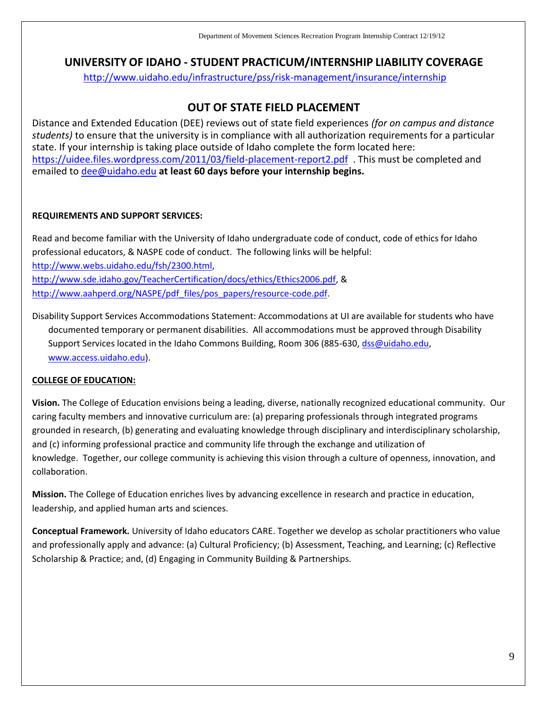# **UNIVERSITY OF IDAHO - STUDENT PRACTICUM/INTERNSHIP LIABILITY COVERAGE**

<http://www.uidaho.edu/infrastructure/pss/risk-management/insurance/internship>

# **OUT OF STATE FIELD PLACEMENT**

Distance and Extended Education (DEE) reviews out of state field experiences *(for on campus and distance students)* to ensure that the university is in compliance with all authorization requirements for a particular state. If your internship is taking place outside of Idaho complete the form located here: <https://uidee.files.wordpress.com/2011/03/field-placement-report2.pdf>. This must be completed and emailed to [dee@uidaho.edu](mailto:dee@uidaho.edu) **at least 60 days before your internship begins.**

#### **REQUIREMENTS AND SUPPORT SERVICES:**

Read and become familiar with the University of Idaho undergraduate code of conduct, code of ethics for Idaho professional educators, & NASPE code of conduct. The following links will be helpful: [http://www.webs.uidaho.edu/fsh/2300.html,](http://www.webs.uidaho.edu/fsh/2300.html) [http://www.sde.idaho.gov/TeacherCertification/docs/ethics/Ethics2006.pdf,](http://www.sde.idaho.gov/TeacherCertification/docs/ethics/Ethics2006.pdf) & [http://www.aahperd.org/NASPE/pdf\\_files/pos\\_papers/resource-code.pdf.](http://www.aahperd.org/NASPE/pdf_files/pos_papers/resource-code.pdf)

Disability Support Services Accommodations Statement: Accommodations at UI are available for students who have documented temporary or permanent disabilities. All accommodations must be approved through Disability Support Services located in the Idaho Commons Building, Room 306 (885-630, [dss@uidaho.edu,](mailto:dss@uidaho.edu) [www.access.uidaho.edu\)](http://www.access.uidaho.edu/).

#### **COLLEGE OF EDUCATION:**

**Vision.** The College of Education envisions being a leading, diverse, nationally recognized educational community. Our caring faculty members and innovative curriculum are: (a) preparing professionals through integrated programs grounded in research, (b) generating and evaluating knowledge through disciplinary and interdisciplinary scholarship, and (c) informing professional practice and community life through the exchange and utilization of knowledge. Together, our college community is achieving this vision through a culture of openness, innovation, and collaboration.

**Mission.** The College of Education enriches lives by advancing excellence in research and practice in education, leadership, and applied human arts and sciences.

**Conceptual Framework.** University of Idaho educators CARE. Together we develop as scholar practitioners who value and professionally apply and advance: (a) Cultural Proficiency; (b) Assessment, Teaching, and Learning; (c) Reflective Scholarship & Practice; and, (d) Engaging in Community Building & Partnerships.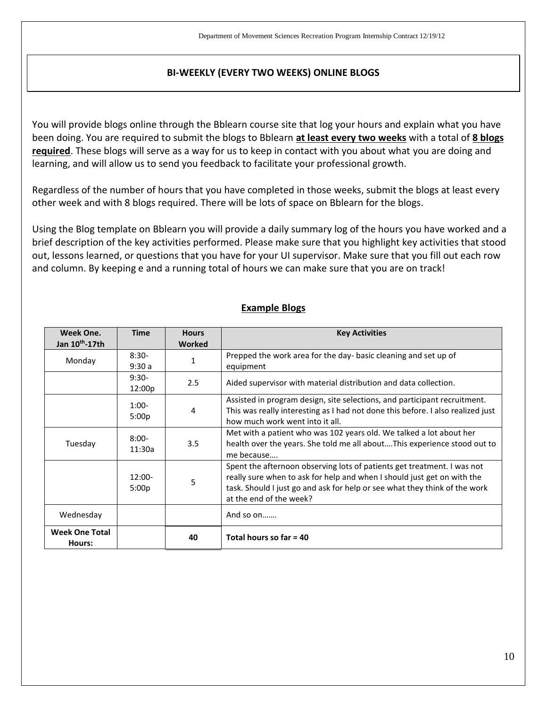# **BI-WEEKLY (EVERY TWO WEEKS) ONLINE BLOGS**

You will provide blogs online through the Bblearn course site that log your hours and explain what you have been doing. You are required to submit the blogs to Bblearn **at least every two weeks** with a total of **8 blogs required**. These blogs will serve as a way for us to keep in contact with you about what you are doing and learning, and will allow us to send you feedback to facilitate your professional growth.

Regardless of the number of hours that you have completed in those weeks, submit the blogs at least every other week and with 8 blogs required. There will be lots of space on Bblearn for the blogs.

Using the Blog template on Bblearn you will provide a daily summary log of the hours you have worked and a brief description of the key activities performed. Please make sure that you highlight key activities that stood out, lessons learned, or questions that you have for your UI supervisor. Make sure that you fill out each row and column. By keeping e and a running total of hours we can make sure that you are on track!

| Week One.<br>Jan $10th$ -17th   | <b>Time</b>       | <b>Hours</b><br><b>Worked</b> | <b>Key Activities</b>                                                                                                                                                                                                                                       |
|---------------------------------|-------------------|-------------------------------|-------------------------------------------------------------------------------------------------------------------------------------------------------------------------------------------------------------------------------------------------------------|
| Monday                          | $8:30-$<br>9:30a  | 1                             | Prepped the work area for the day- basic cleaning and set up of<br>equipment                                                                                                                                                                                |
|                                 | $9:30-$<br>12:00p | 2.5                           | Aided supervisor with material distribution and data collection.                                                                                                                                                                                            |
|                                 | $1:00-$<br>5:00p  | 4                             | Assisted in program design, site selections, and participant recruitment.<br>This was really interesting as I had not done this before. I also realized just<br>how much work went into it all.                                                             |
| Tuesday                         | $8:00-$<br>11:30a | 3.5                           | Met with a patient who was 102 years old. We talked a lot about her<br>health over the years. She told me all aboutThis experience stood out to<br>me because                                                                                               |
|                                 | $12:00-$<br>5:00p | 5                             | Spent the afternoon observing lots of patients get treatment. I was not<br>really sure when to ask for help and when I should just get on with the<br>task. Should I just go and ask for help or see what they think of the work<br>at the end of the week? |
| Wednesday                       |                   |                               | And so on $\ldots$                                                                                                                                                                                                                                          |
| <b>Week One Total</b><br>Hours: |                   | 40                            | Total hours so far = 40                                                                                                                                                                                                                                     |

#### **Example Blogs**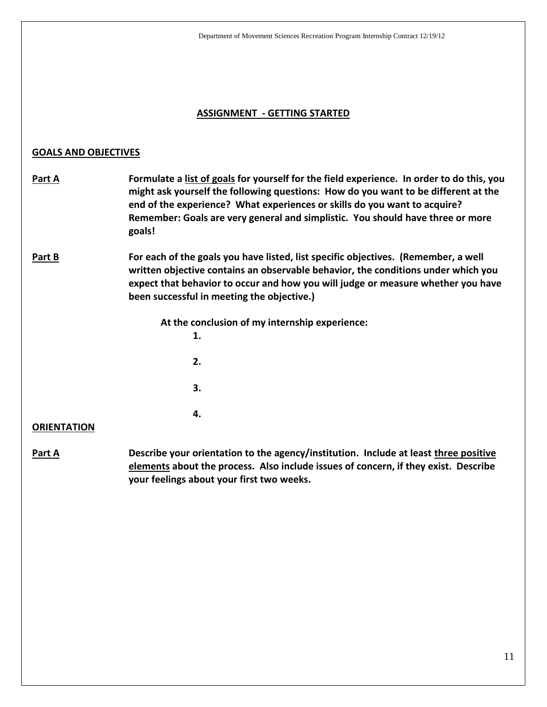#### **ASSIGNMENT - GETTING STARTED**

#### **GOALS AND OBJECTIVES**

- **Part A Formulate a list of goals for yourself for the field experience. In order to do this, you might ask yourself the following questions: How do you want to be different at the end of the experience? What experiences or skills do you want to acquire? Remember: Goals are very general and simplistic. You should have three or more goals!**
- **Part B For each of the goals you have listed, list specific objectives. (Remember, a well written objective contains an observable behavior, the conditions under which you expect that behavior to occur and how you will judge or measure whether you have been successful in meeting the objective.)**

**At the conclusion of my internship experience:**

- **1.**
- **2.**
- **3.**
- **4.**

#### **ORIENTATION**

**Part A Describe your orientation to the agency/institution. Include at least three positive elements about the process. Also include issues of concern, if they exist. Describe your feelings about your first two weeks.**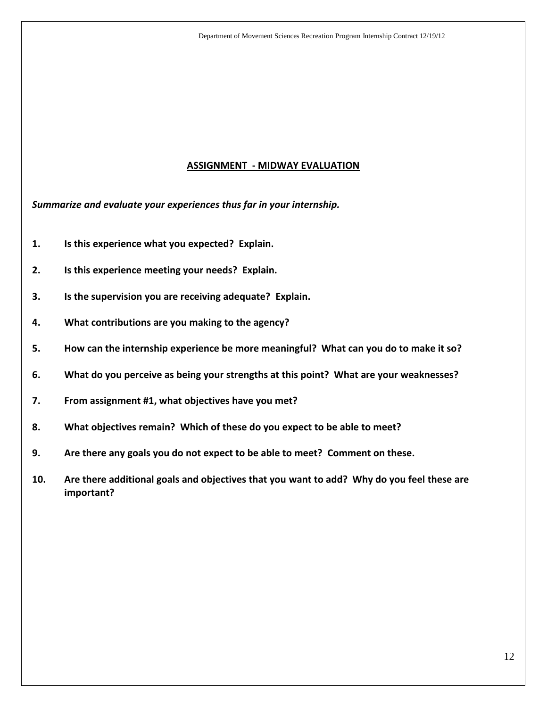#### **ASSIGNMENT - MIDWAY EVALUATION**

*Summarize and evaluate your experiences thus far in your internship.*

- **1. Is this experience what you expected? Explain.**
- **2. Is this experience meeting your needs? Explain.**
- **3. Is the supervision you are receiving adequate? Explain.**
- **4. What contributions are you making to the agency?**
- **5. How can the internship experience be more meaningful? What can you do to make it so?**
- **6. What do you perceive as being your strengths at this point? What are your weaknesses?**
- **7. From assignment #1, what objectives have you met?**
- **8. What objectives remain? Which of these do you expect to be able to meet?**
- **9. Are there any goals you do not expect to be able to meet? Comment on these.**
- **10. Are there additional goals and objectives that you want to add? Why do you feel these are important?**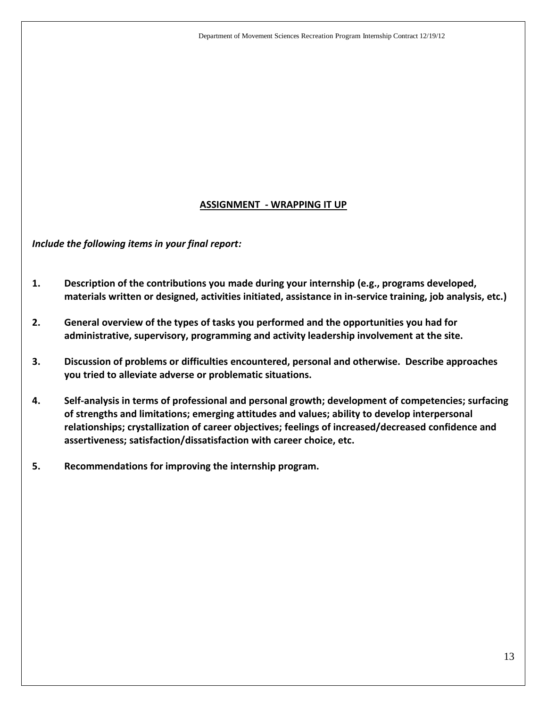## **ASSIGNMENT - WRAPPING IT UP**

*Include the following items in your final report:*

- **1. Description of the contributions you made during your internship (e.g., programs developed, materials written or designed, activities initiated, assistance in in-service training, job analysis, etc.)**
- **2. General overview of the types of tasks you performed and the opportunities you had for administrative, supervisory, programming and activity leadership involvement at the site.**
- **3. Discussion of problems or difficulties encountered, personal and otherwise. Describe approaches you tried to alleviate adverse or problematic situations.**
- **4. Self-analysis in terms of professional and personal growth; development of competencies; surfacing of strengths and limitations; emerging attitudes and values; ability to develop interpersonal relationships; crystallization of career objectives; feelings of increased/decreased confidence and assertiveness; satisfaction/dissatisfaction with career choice, etc.**
- **5. Recommendations for improving the internship program.**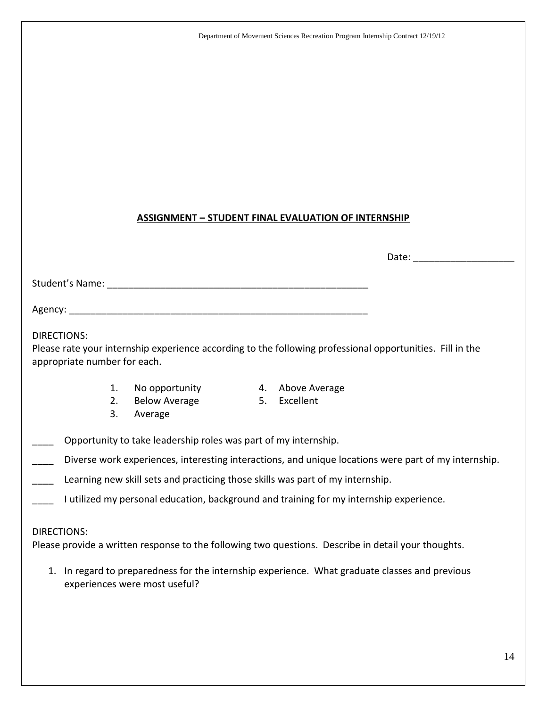#### **ASSIGNMENT – STUDENT FINAL EVALUATION OF INTERNSHIP**

Date: \_\_\_\_\_\_\_\_\_\_\_\_\_\_\_\_\_\_\_

Student's Name: \_\_\_\_\_\_\_\_\_\_\_\_\_\_\_\_\_\_\_\_\_\_\_\_\_\_\_\_\_\_\_\_\_\_\_\_\_\_\_\_\_\_\_\_\_\_\_\_\_

Agency:

DIRECTIONS:

Please rate your internship experience according to the following professional opportunities. Fill in the appropriate number for each.

- 
- 1. No opportunity 4. Above Average
- 2. Below Average 5. Excellent
- 3. Average
- 
- Opportunity to take leadership roles was part of my internship.

Diverse work experiences, interesting interactions, and unique locations were part of my internship.

- Learning new skill sets and practicing those skills was part of my internship.
- I utilized my personal education, background and training for my internship experience.

#### DIRECTIONS:

Please provide a written response to the following two questions. Describe in detail your thoughts.

1. In regard to preparedness for the internship experience. What graduate classes and previous experiences were most useful?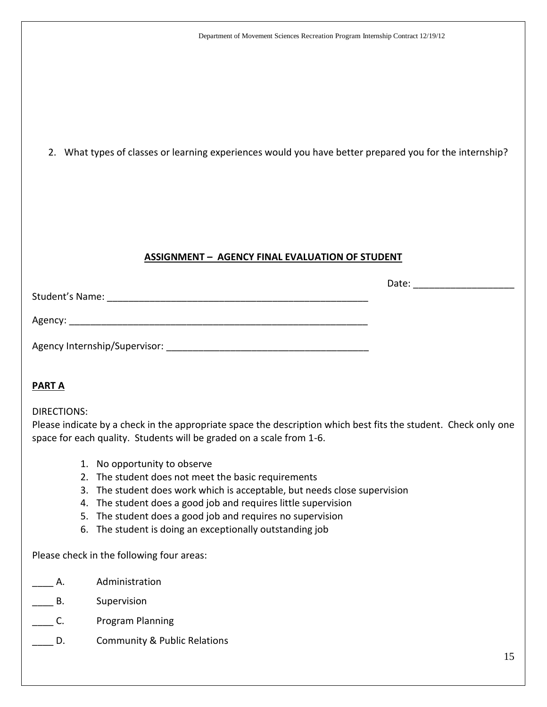2. What types of classes or learning experiences would you have better prepared you for the internship?

#### **ASSIGNMENT – AGENCY FINAL EVALUATION OF STUDENT**

Date: \_\_\_\_\_\_\_\_\_\_\_\_\_\_\_\_\_\_\_

| Student's Name: |  |
|-----------------|--|
|                 |  |

Agency:

| Agency Internship/Supervisor: |
|-------------------------------|
|                               |

# **PART A**

#### DIRECTIONS:

Please indicate by a check in the appropriate space the description which best fits the student. Check only one space for each quality. Students will be graded on a scale from 1-6.

- 1. No opportunity to observe
- 2. The student does not meet the basic requirements
- 3. The student does work which is acceptable, but needs close supervision
- 4. The student does a good job and requires little supervision
- 5. The student does a good job and requires no supervision
- 6. The student is doing an exceptionally outstanding job

Please check in the following four areas:

- \_\_\_\_\_ A. Administration
- \_\_\_\_\_ B. Supervision
- \_\_\_\_ C. Program Planning
- **LETTE:** D. Community & Public Relations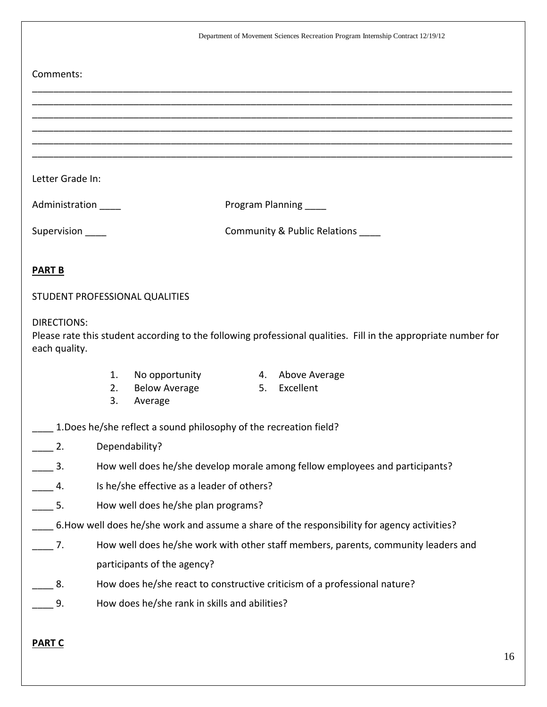| Department of Movement Sciences Recreation Program Internship Contract 12/19/12                                                                       |    |
|-------------------------------------------------------------------------------------------------------------------------------------------------------|----|
| Comments:                                                                                                                                             |    |
|                                                                                                                                                       |    |
|                                                                                                                                                       |    |
|                                                                                                                                                       |    |
|                                                                                                                                                       |    |
| Letter Grade In:                                                                                                                                      |    |
| Administration<br>Program Planning                                                                                                                    |    |
| <b>Community &amp; Public Relations</b><br>Supervision _____                                                                                          |    |
|                                                                                                                                                       |    |
| <b>PART B</b>                                                                                                                                         |    |
| STUDENT PROFESSIONAL QUALITIES                                                                                                                        |    |
| <b>DIRECTIONS:</b><br>Please rate this student according to the following professional qualities. Fill in the appropriate number for<br>each quality. |    |
|                                                                                                                                                       |    |
| 1.<br>No opportunity<br>4. Above Average<br>Excellent<br><b>Below Average</b><br>2.<br>5.                                                             |    |
| 3.<br>Average                                                                                                                                         |    |
| 1. Does he/she reflect a sound philosophy of the recreation field?                                                                                    |    |
| Dependability?<br>$\overline{\phantom{a}}$ 2.                                                                                                         |    |
| $\frac{3}{2}$<br>How well does he/she develop morale among fellow employees and participants?                                                         |    |
| $\frac{4}{1}$<br>Is he/she effective as a leader of others?                                                                                           |    |
| $\frac{1}{\sqrt{2}}$ 5.<br>How well does he/she plan programs?                                                                                        |    |
| 6. Bow well does he/she work and assume a share of the responsibility for agency activities?                                                          |    |
| $\sim$ 7.<br>How well does he/she work with other staff members, parents, community leaders and                                                       |    |
| participants of the agency?                                                                                                                           |    |
| How does he/she react to constructive criticism of a professional nature?<br>8.                                                                       |    |
| How does he/she rank in skills and abilities?<br>9.                                                                                                   |    |
| <b>PART C</b>                                                                                                                                         | 16 |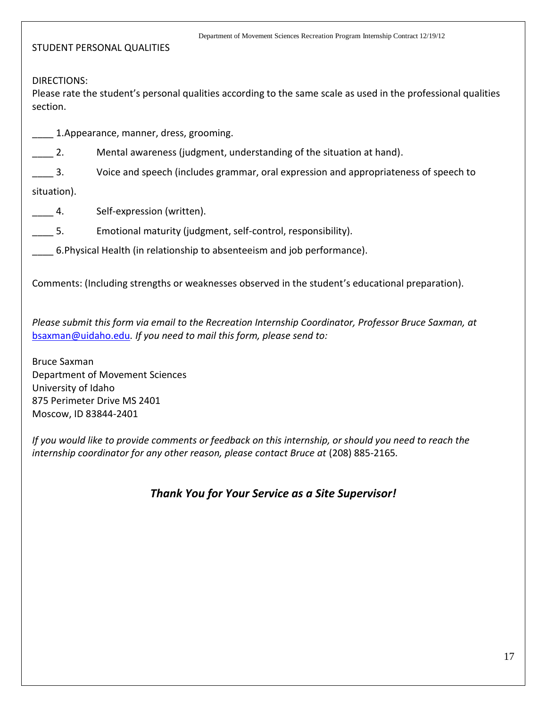#### STUDENT PERSONAL QUALITIES

#### DIRECTIONS:

Please rate the student's personal qualities according to the same scale as used in the professional qualities section.

\_\_\_\_ 1.Appearance, manner, dress, grooming.

**2.** Mental awareness (judgment, understanding of the situation at hand).

\_\_\_\_ 3. Voice and speech (includes grammar, oral expression and appropriateness of speech to

situation).

**4.** Self-expression (written).

5. Emotional maturity (judgment, self-control, responsibility).

\_\_\_\_ 6.Physical Health (in relationship to absenteeism and job performance).

Comments: (Including strengths or weaknesses observed in the student's educational preparation).

*Please submit this form via email to the Recreation Internship Coordinator, Professor Bruce Saxman, at*  [bsaxman@uidaho.edu](mailto:bsaxman@uidaho.edu)*. If you need to mail this form, please send to:* 

Bruce Saxman Department of Movement Sciences University of Idaho 875 Perimeter Drive MS 2401 Moscow, ID 83844-2401

*If you would like to provide comments or feedback on this internship, or should you need to reach the internship coordinator for any other reason, please contact Bruce at* (208) 885-2165*.*

## *Thank You for Your Service as a Site Supervisor!*